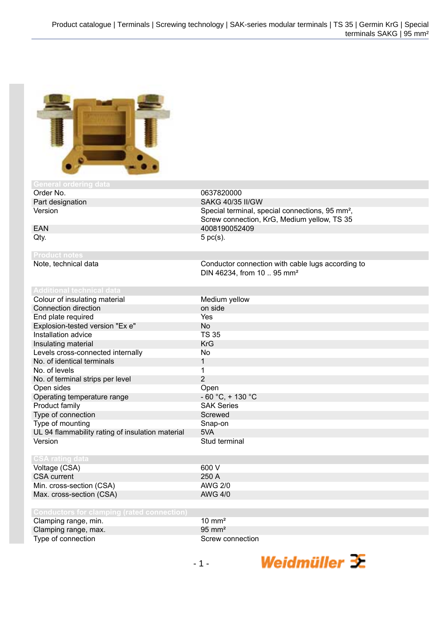

| 1 U <del>o</del> 11 U U GLE                       |                                                             |
|---------------------------------------------------|-------------------------------------------------------------|
| Order No.                                         | 0637820000                                                  |
| Part designation                                  | <b>SAKG 40/35 II/GW</b>                                     |
| Version                                           | Special terminal, special connections, 95 mm <sup>2</sup> , |
|                                                   | Screw connection, KrG, Medium yellow, TS 35                 |
| <b>EAN</b>                                        | 4008190052409                                               |
| Qty.                                              | $5$ pc(s).                                                  |
|                                                   |                                                             |
| <b>Product notes</b>                              |                                                             |
| Note, technical data                              | Conductor connection with cable lugs according to           |
|                                                   | DIN 46234, from 10  95 mm <sup>2</sup>                      |
|                                                   |                                                             |
| <b>Additional technical data</b>                  |                                                             |
| Colour of insulating material                     | Medium yellow                                               |
| Connection direction                              | on side                                                     |
| End plate required                                | Yes                                                         |
| Explosion-tested version "Ex e"                   | <b>No</b>                                                   |
| Installation advice                               | <b>TS 35</b>                                                |
| Insulating material                               | <b>KrG</b>                                                  |
| Levels cross-connected internally                 | <b>No</b>                                                   |
| No. of identical terminals                        | $\mathbf{1}$                                                |
| No. of levels                                     | 1                                                           |
| No. of terminal strips per level                  | $\overline{2}$                                              |
| Open sides                                        | Open                                                        |
| Operating temperature range                       | $-60 °C$ , + 130 °C                                         |
| Product family                                    | <b>SAK Series</b>                                           |
| Type of connection                                | Screwed                                                     |
| Type of mounting                                  | Snap-on                                                     |
| UL 94 flammability rating of insulation material  | 5VA                                                         |
| Version                                           | Stud terminal                                               |
|                                                   |                                                             |
| <b>CSA rating data</b>                            |                                                             |
| Voltage (CSA)                                     | 600 V                                                       |
| <b>CSA</b> current                                | 250 A                                                       |
| Min. cross-section (CSA)                          | <b>AWG 2/0</b>                                              |
| Max. cross-section (CSA)                          | <b>AWG 4/0</b>                                              |
|                                                   |                                                             |
| <b>Conductors for clamping (rated connection)</b> |                                                             |
| Clamping range, min.                              | $10 \text{ mm}^2$                                           |
| Clamping range, max.                              | $95 \text{ mm}^2$                                           |
| Type of connection                                | Screw connection                                            |
|                                                   |                                                             |

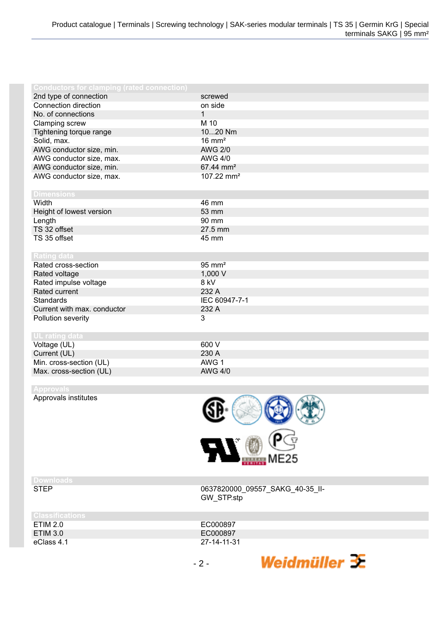| <b>Conductors for clamping (rated connection)</b> |                        |
|---------------------------------------------------|------------------------|
| 2nd type of connection                            | screwed                |
| Connection direction                              | on side                |
| No. of connections                                | $\mathbf{1}$           |
| Clamping screw                                    | M 10                   |
| Tightening torque range                           | 1020 Nm                |
| Solid, max.                                       | $16 \text{ mm}^2$      |
| AWG conductor size, min.                          | <b>AWG 2/0</b>         |
| AWG conductor size, max.                          | <b>AWG 4/0</b>         |
| AWG conductor size, min.                          | 67.44 mm <sup>2</sup>  |
| AWG conductor size, max.                          | 107.22 mm <sup>2</sup> |
|                                                   |                        |
| <b>Dimensions</b>                                 |                        |
| Width                                             | 46 mm                  |
| Height of lowest version                          | 53 mm                  |
| Length                                            | 90 mm                  |
| TS 32 offset                                      | 27.5 mm                |
| TS 35 offset                                      | 45 mm                  |
|                                                   |                        |
| <b>Rating data</b>                                |                        |
| Rated cross-section                               | $95 \text{ mm}^2$      |
| Rated voltage                                     | 1,000 V                |
| Rated impulse voltage                             | 8 kV                   |
| Rated current                                     | 232 A                  |
| <b>Standards</b>                                  | IEC 60947-7-1          |
| Current with max. conductor                       | 232 A                  |
| Pollution severity                                | 3                      |
|                                                   |                        |
| <b>UL rating data</b>                             |                        |
| Voltage (UL)                                      | 600 V                  |
| Current (UL)                                      | 230 A                  |
| Min. cross-section (UL)                           | AWG 1                  |
| Max. cross-section (UL)                           | <b>AWG 4/0</b>         |

Approvals institutes



## **Downloads**

0637820000\_09557\_SAKG\_40-35\_II-GW\_STP.stp

Weidmüller  $\mathcal{\mathcal{F}}$ 

| <b>Classifications</b> |             |
|------------------------|-------------|
| ETIM 2.0               | EC000897    |
| ETIM 3.0               | EC000897    |
| eClass 4.1             | 27-14-11-31 |